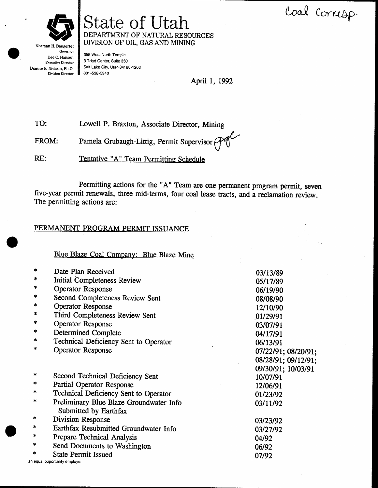

# State of Utah Coal Corresp. DEPARTMENT OF NATURAL RESOURCES DIVISION OF OIL, GAS AND MINING

Governor Dee C. Hansen Executive Director Dianne R Nielson, Ph,D. Division Director

355 West North Tempte 3 Triad Center, Suite 350 Salt Lake City, Utah 84180-1203 801-538-5340

April l, <sup>1992</sup>

TO: Lowell P. Braxton, Associate Director, Mining

Pamela Grubaugh-Littig, Permit Supervisor  $\overline{A}$  $\bigcirc$  o FROM:

Tentative "A" Team Permitting Schedule RE:

Permitting actions for the "A" Team are one permanent program permit, seven five-year permit renewals, three mid-terms, four coal lease tracts, and a reclamation review. The permitting actions are:

#### PERMANENT PROGRAM PERMIT ISSUANCE

Blue Blaze Coal Company: Blue Blaze Mine

| $\ast$ | Date Plan Received                                               | 03/13/89            |
|--------|------------------------------------------------------------------|---------------------|
| *      | <b>Initial Completeness Review</b>                               | 05/17/89            |
| $\ast$ | Operator Response                                                | 06/19/90            |
| *      | Second Completeness Review Sent                                  | 08/08/90            |
| $\ast$ | Operator Response                                                | 12/10/90            |
| *      | Third Completeness Review Sent                                   | 01/29/91            |
| $\ast$ | Operator Response                                                | 03/07/91            |
| ∗      | <b>Determined Complete</b>                                       | 04/17/91            |
| *      | Technical Deficiency Sent to Operator                            | 06/13/91            |
| $\ast$ | <b>Operator Response</b>                                         | 07/22/91; 08/20/91; |
|        |                                                                  | 08/28/91; 09/12/91; |
|        |                                                                  | 09/30/91; 10/03/91  |
| ∗      | Second Technical Deficiency Sent                                 | 10/07/91            |
|        | Partial Operator Response                                        | 12/06/91            |
| *      | Technical Deficiency Sent to Operator                            | 01/23/92            |
| *      | Preliminary Blue Blaze Groundwater Info<br>Submitted by Earthfax | 03/11/92            |
| ∗      | Division Response                                                | 03/23/92            |
| ∗      | Earthfax Resubmitted Groundwater Info                            | 03/27/92            |
| *      | Prepare Technical Analysis                                       | 04/92               |
| ×      | Send Documents to Washington                                     | 06/92               |
| *      | <b>State Permit Issued</b>                                       |                     |
|        | an equal opportunity employer                                    | 07/92               |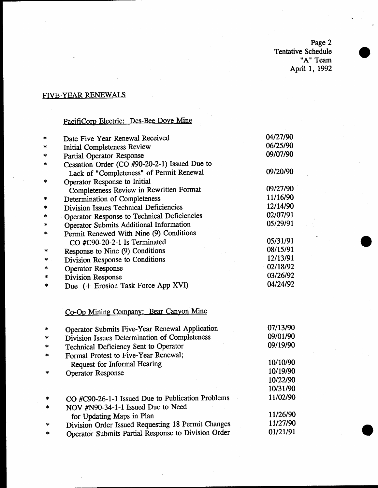Page 2<br>Tentative Schedule "A" Team April 1, 1992

#### FIVE-YEAR RENEWALS

## PacifiCorp Electric: Des-Bee-Dove Mine

| $\ast$ | 04/27/90<br>Date Five Year Renewal Received         |          |
|--------|-----------------------------------------------------|----------|
| $\ast$ | <b>Initial Completeness Review</b>                  | 06/25/90 |
| *      | Partial Operator Response                           | 09/07/90 |
| *      | Cessation Order (CO #90-20-2-1) Issued Due to       |          |
|        | Lack of "Completeness" of Permit Renewal            | 09/20/90 |
| *      | Operator Response to Initial                        |          |
|        | Completeness Review in Rewritten Format             | 09/27/90 |
| ∗      | Determination of Completeness                       | 11/16/90 |
| *      | Division Issues Technical Deficiencies              | 12/14/90 |
| *      | Operator Response to Technical Deficiencies         | 02/07/91 |
| $\ast$ | Operator Submits Additional Information             | 05/29/91 |
| $\ast$ | Permit Renewed With Nine (9) Conditions             |          |
|        | CO #C90-20-2-1 Is Terminated                        | 05/31/91 |
| ∗      | Response to Nine (9) Conditions                     | 08/15/91 |
| ∗      | Division Response to Conditions                     | 12/13/91 |
| *      | <b>Operator Response</b>                            | 02/18/92 |
| ∗      | <b>Division Response</b>                            | 03/26/92 |
| ×      | Due (+ Erosion Task Force App XVI)                  | 04/24/92 |
|        |                                                     |          |
|        | Co-Op Mining Company: Bear Canyon Mine              |          |
| *      | Operator Submits Five-Year Renewal Application      | 07/13/90 |
| ×      | Division Issues Determination of Completeness       | 09/01/90 |
| $\ast$ | Technical Deficiency Sent to Operator               | 09/19/90 |
| $\ast$ | Formal Protest to Five-Year Renewal;                |          |
|        | Request for Informal Hearing                        | 10/10/90 |
| $\ast$ | Operator Response                                   | 10/19/90 |
|        |                                                     | 10/22/90 |
|        |                                                     | 10/31/90 |
| ∗      | CO #C90-26-1-1 Issued Due to Publication Problems   | 11/02/90 |
| $\ast$ | NOV #N90-34-1-1 Issued Due to Need                  |          |
|        | for Updating Maps in Plan                           | 11/26/90 |
| *      | Division Order Issued Requesting 18 Permit Changes  | 11/27/90 |
|        | Operator Submits Partial Response to Division Order | 01/21/91 |

Operator Submits Partial Response to Division Order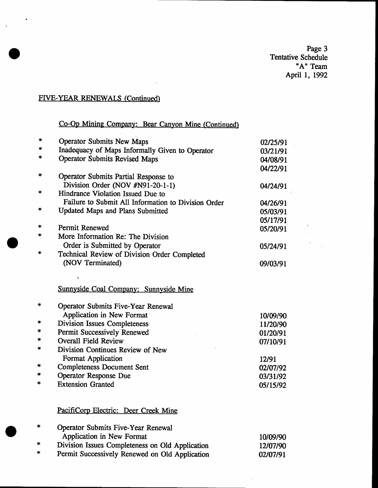Page 3 Tentative Schedule "A" Team April 1, 1992

#### FIVE-YEAR RENEWALS (Continued)

## Co-Op Mining Company: Bear Canyon Mine (Continued]

| ×      | <b>Operator Submits New Maps</b>                            | 02/25/91 |
|--------|-------------------------------------------------------------|----------|
|        | Inadequacy of Maps Informally Given to Operator<br>03/21/91 |          |
| *      | <b>Operator Submits Revised Maps</b>                        | 04/08/91 |
|        |                                                             | 04/22/91 |
| $\ast$ | Operator Submits Partial Response to                        |          |
|        | Division Order (NOV #N91-20-1-1)                            | 04/24/91 |
| *      | Hindrance Violation Issued Due to                           |          |
|        | Failure to Submit All Information to Division Order         | 04/26/91 |
| *      | <b>Updated Maps and Plans Submitted</b>                     | 05/03/91 |
|        |                                                             | 05/17/91 |
|        | <b>Permit Renewed</b>                                       | 05/20/91 |
| *      | More Information Re: The Division                           |          |
|        | Order is Submitted by Operator                              | 05/24/91 |
|        | Technical Review of Division Order Completed                |          |
|        | (NOV Terminated)                                            | 09/03/91 |
|        |                                                             |          |
|        |                                                             |          |
|        | Sunnyside Coal Company: Sunnyside Mine                      |          |
|        |                                                             |          |
|        | Operator Submits Five-Year Renewal                          |          |
|        | Application in New Format                                   | 10/09/90 |
| ∗      | <b>Division Issues Completeness</b>                         | 11/20/90 |
| ×      | Permit Successively Renewed                                 | 01/20/91 |
| ∗      | <b>Overall Field Review</b>                                 | 07/10/91 |
| ∗      | Division Continues Review of New                            |          |
|        | <b>Format Application</b>                                   | 12/91    |
| ∗      | <b>Completeness Document Sent</b>                           | 02/07/92 |
| ∗      | <b>Operator Response Due</b>                                | 03/31/92 |
|        | <b>Extension Granted</b>                                    | 05/15/92 |
|        |                                                             |          |
|        |                                                             |          |
|        | PacifiCorp Electric: Deer Creek Mine                        |          |

Operator Submits Five-Year Renewal  $\ast$ Application in New Format l0/09/90 Division Issues Completeness on Old Application  $\ast$ 12/07/90 Permit Successively Renewed on Old Application \*02/07/91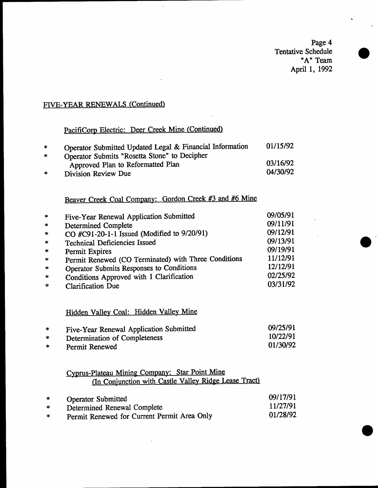Page 4 Tentative Schedule nA" Team April 1, 1992

I

### FIVE-YEAR RENEWALS (Continued)

## PacifiCorp Electric: Deer Creek Mine (Continued)

| *      | Operator Submitted Updated Legal & Financial Information | 01/15/92 |
|--------|----------------------------------------------------------|----------|
| $\ast$ | Operator Submits "Rosetta Stone" to Decipher             |          |
|        | Approved Plan to Reformatted Plan                        | 03/16/92 |
| $\ast$ | Division Review Due                                      | 04/30/92 |

## Beaver Creek Coal Company: Gordon Creek #3 and #6 Mine

| 09/05/91 |
|----------|
| 09/11/91 |
| 09/12/91 |
| 09/13/91 |
| 09/19/91 |
| 11/12/91 |
| 12/12/91 |
| 02/25/92 |
| 03/31/92 |
|          |

## Hidden Valley Coal: Hidden Valley Mine

| $\star$ | Five-Year Renewal Application Submitted | 09/25/91 |
|---------|-----------------------------------------|----------|
| $\ast$  | Determination of Completeness           | 10/22/91 |
|         | Permit Renewed                          | 01/30/92 |

# Cyprus-Plateau Mining Company: Star Point Mine<br>(In Conjunction with Castle Valley Ridge Lease Tract)

| $\ast$ | <b>Operator Submitted</b>                   | 09/17/91 |
|--------|---------------------------------------------|----------|
| $\ast$ | Determined Renewal Complete                 | 11/27/91 |
| $\ast$ | Permit Renewed for Current Permit Area Only | 01/28/92 |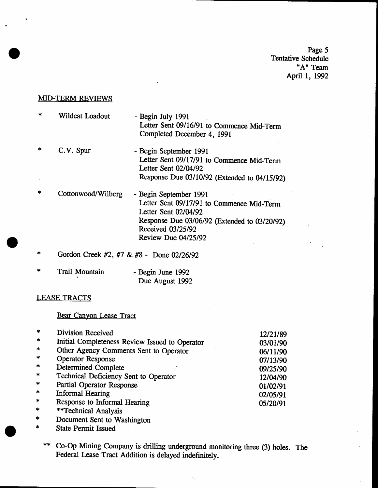Page 5 Tentative Schedule "A" Team April I, <sup>1992</sup>

#### MID-TERM REVIEWS

- Wildcat Loadout - Begin July 1991 Letter Sent 09/16/91 to Commence Mid-Term Completed December 4, 1991
- $\ast$ C.V. Spur - Begin September 1991 Letter Sent 09/17/91 to Commence Mid-Term Letter Sent 02/04/92 Response Due 03/10/92 (Extended to 04/15/92)
- $\ast$ Cottonwood/Wilberg - Begin September 1991 Letter Sent 09/17/91 to Commence Mid-Term Letter Sent 02/04/92 Response Due 03/06/92 (Extended to 03/20/92) Received 03/25192 Review Due 04/25/92
- \* Gordon Creek  $#2, #7$  &  $#8$  Done 02/26/92
- Trail Mountain I - Begin June 1992 Due August 1992

#### LEASE TRACTS

#### Bear Canyon Lease Tract

| $\ast$  | Division Received                              | 12/21/89 |
|---------|------------------------------------------------|----------|
| $\star$ | Initial Completeness Review Issued to Operator | 03/01/90 |
| $\star$ | Other Agency Comments Sent to Operator         | 06/11/90 |
| $\ast$  | Operator Response                              | 07/13/90 |
| $\ast$  | Determined Complete                            | 09/25/90 |
| $\star$ | Technical Deficiency Sent to Operator          | 12/04/90 |
| $\star$ | Partial Operator Response                      | 01/02/91 |
| $\star$ | <b>Informal Hearing</b>                        | 02/05/91 |
| $\ast$  | Response to Informal Hearing                   | 05/20/91 |
| $\star$ | **Technical Analysis                           |          |

- rlc Document Sent to Washington
- r\* State Permit Issued
	- Co-Op Mining Company is drilling underground monitoring three (3) holes. The Federal Lease Tract Addition is delayed indefinitely.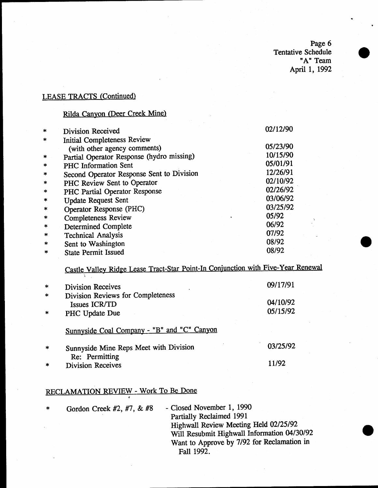Page 6 Tentative Schedule nA" Team April I, <sup>1992</sup>

## LEASE TRACTS (Continued)

## Rilda Canyon (Deer Creek Mine)

| $\ast$  | <b>Division Received</b>                  | 02/12/90 |
|---------|-------------------------------------------|----------|
| $\star$ | <b>Initial Completeness Review</b>        |          |
|         | (with other agency comments)              | 05/23/90 |
| $\ast$  | Partial Operator Response (hydro missing) | 10/15/90 |
| ×       | PHC Information Sent                      | 05/01/91 |
| ∗       | Second Operator Response Sent to Division | 12/26/91 |
|         | PHC Review Sent to Operator               | 02/10/92 |
| ×       | PHC Partial Operator Response             | 02/26/92 |
| 家       | <b>Update Request Sent</b>                | 03/06/92 |
| ∗       | Operator Response (PHC)                   | 03/25/92 |
|         | <b>Completeness Review</b>                | 05/92    |
|         | <b>Determined Complete</b>                | 06/92    |
|         | <b>Technical Analysis</b>                 | 07/92    |
|         | Sent to Washington                        | 08/92    |
|         | <b>State Permit Issued</b>                | 08/92    |

## Castle Valley Ridge Lease Tract-Star Point-In Conjunction with Five-Year Renewal

| ∗             | <b>Division Receives</b>                           | 09/17/91             |
|---------------|----------------------------------------------------|----------------------|
| $\mathcal{H}$ | Division Reviews for Completeness<br>Issues ICR/TD | 04/10/92<br>05/15/92 |
| $\ast$        | PHC Update Due                                     |                      |
|               | Sunnyside Coal Company - "B" and "C" Canyon        |                      |
| $\ast$        | Sunnyside Mine Reps Meet with Division             | 03/25/92             |
|               | Re: Permitting                                     |                      |
|               | <b>Division Receives</b>                           | 11/92                |

### RECLAMATION REVIEW - Work To Be Done

| $\ast$ | Gordon Creek $#2, #7, \& #8$ | - Closed November 1, 1990                   |
|--------|------------------------------|---------------------------------------------|
|        |                              | Partially Reclaimed 1991                    |
|        |                              | Highwall Review Meeting Held 02/25/92       |
|        |                              | Will Resubmit Highwall Information 04/30/92 |
|        |                              | Want to Approve by 7/92 for Reclamation in  |
|        |                              | Fall 1992.                                  |